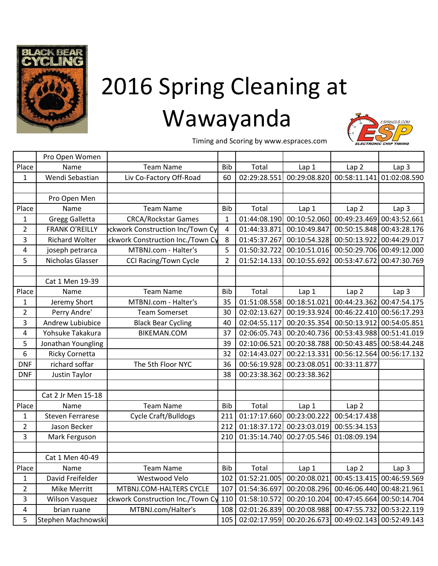

## 2016 Spring Cleaning at Wawayanda



Timing and Scoring by www.espraces.com

|                | Pro Open Women          |                                         |                |              |              |                  |                           |
|----------------|-------------------------|-----------------------------------------|----------------|--------------|--------------|------------------|---------------------------|
| Place          | Name                    | <b>Team Name</b>                        | <b>Bib</b>     | Total        | Lap 1        | Lap <sub>2</sub> | Lap <sub>3</sub>          |
| 1              | Wendi Sebastian         | Liv Co-Factory Off-Road                 | 60             | 02:29:28.551 | 00:29:08.820 | 00:58:11.141     | 01:02:08.590              |
|                |                         |                                         |                |              |              |                  |                           |
|                | Pro Open Men            |                                         |                |              |              |                  |                           |
| Place          | Name                    | <b>Team Name</b>                        | <b>Bib</b>     | Total        | Lap 1        | Lap <sub>2</sub> | Lap <sub>3</sub>          |
| 1              | <b>Gregg Galletta</b>   | <b>CRCA/Rockstar Games</b>              | $\mathbf{1}$   | 01:44:08.190 | 00:10:52.060 | 00:49:23.469     | 00:43:52.661              |
| $\overline{2}$ | <b>FRANK O'REILLY</b>   | <b>pckwork Construction Inc/Town Cy</b> | 4              | 01:44:33.871 | 00:10:49.847 | 00:50:15.848     | 00:43:28.176              |
| 3              | <b>Richard Wolter</b>   | ckwork Construction Inc./Town Cy        | 8              | 01:45:37.267 | 00:10:54.328 | 00:50:13.922     | 00:44:29.017              |
| 4              | joseph petrarca         | MTBNJ.com - Halter's                    | 5              | 01:50:32.722 | 00:10:51.016 | 00:50:29.706     | 00:49:12.000              |
| 5              | Nicholas Glasser        | <b>CCI Racing/Town Cycle</b>            | $\overline{2}$ | 01:52:14.133 | 00:10:55.692 | 00:53:47.672     | 00:47:30.769              |
|                |                         |                                         |                |              |              |                  |                           |
|                | Cat 1 Men 19-39         |                                         |                |              |              |                  |                           |
| Place          | Name                    | <b>Team Name</b>                        | <b>Bib</b>     | Total        | Lap 1        | Lap <sub>2</sub> | Lap <sub>3</sub>          |
| 1              | Jeremy Short            | MTBNJ.com - Halter's                    | 35             | 01:51:08.558 | 00:18:51.021 | 00:44:23.362     | 00:47:54.175              |
| $\overline{2}$ | Perry Andre'            | <b>Team Somerset</b>                    | 30             | 02:02:13.627 | 00:19:33.924 | 00:46:22.410     | 00:56:17.293              |
| 3              | Andrew Lubiubice        | <b>Black Bear Cycling</b>               | 40             | 02:04:55.117 | 00:20:35.354 | 00:50:13.912     | 00:54:05.851              |
| 4              | Yohsuke Takakura        | <b>BIKEMAN.COM</b>                      | 37             | 02:06:05.743 | 00:20:40.736 | 00:53:43.988     | 00:51:41.019              |
| 5              | Jonathan Youngling      |                                         | 39             | 02:10:06.521 | 00:20:38.788 | 00:50:43.485     | 00:58:44.248              |
| 6              | <b>Ricky Cornetta</b>   |                                         | 32             | 02:14:43.027 | 00:22:13.331 | 00:56:12.564     | 00:56:17.132              |
| <b>DNF</b>     | richard soffar          | The 5th Floor NYC                       | 36             | 00:56:19.928 | 00:23:08.051 | 00:33:11.877     |                           |
| <b>DNF</b>     | Justin Taylor           |                                         | 38             | 00:23:38.362 | 00:23:38.362 |                  |                           |
|                |                         |                                         |                |              |              |                  |                           |
|                | Cat 2 Jr Men 15-18      |                                         |                |              |              |                  |                           |
| Place          | Name                    | <b>Team Name</b>                        | <b>Bib</b>     | Total        | Lap 1        | Lap <sub>2</sub> |                           |
| 1              | <b>Steven Ferrarese</b> | <b>Cycle Craft/Bulldogs</b>             | 211            | 01:17:17.660 | 00:23:00.222 | 00:54:17.438     |                           |
| $\overline{2}$ | Jason Becker            |                                         | 212            | 01:18:37.172 | 00:23:03.019 | 00:55:34.153     |                           |
| 3              | Mark Ferguson           |                                         | 210            | 01:35:14.740 | 00:27:05.546 | 01:08:09.194     |                           |
|                |                         |                                         |                |              |              |                  |                           |
|                | Cat 1 Men 40-49         |                                         |                |              |              |                  |                           |
| Place          | Name                    | <b>Team Name</b>                        | Bib            | Total        | Lap 1        | Lap <sub>2</sub> | Lap <sub>3</sub>          |
| 1              | David Freifelder        | Westwood Velo                           | 102            | 01:52:21.005 | 00:20:08.021 | 00:45:13.415     | 00:46:59.569              |
| $\overline{2}$ | Mike Merritt            | MTBNJ.COM-HALTERS CYCLE                 | 107            | 01:54:36.697 | 00:20:08.296 | 00:46:06.440     | 00:48:21.961              |
| 3              | <b>Wilson Vasquez</b>   | ckwork Construction Inc./Town Cy        | 110            | 01:58:10.572 | 00:20:10.204 | 00:47:45.664     | 00:50:14.704              |
| $\overline{4}$ | brian ruane             | MTBNJ.com/Halter's                      | 108            | 02:01:26.839 | 00:20:08.988 |                  | 00:47:55.732 00:53:22.119 |
| 5              | Stephen Machnowski      |                                         | 105            | 02:02:17.959 | 00:20:26.673 |                  | 00:49:02.143 00:52:49.143 |
|                |                         |                                         |                |              |              |                  |                           |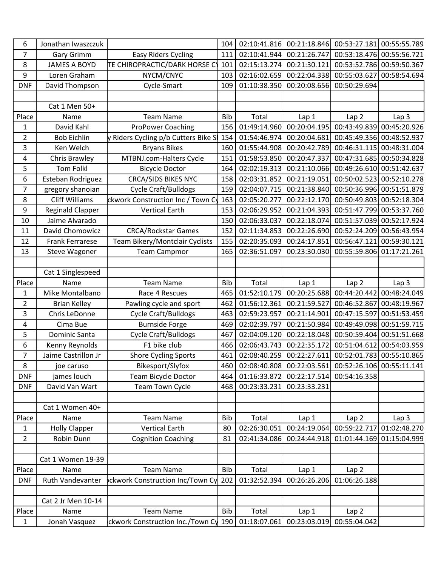| 6                | Jonathan Iwaszczuk      |                                         | 104        | 02:10:41.816 | 00:21:18.846 | 00:53:27.181     | 00:55:55.789              |
|------------------|-------------------------|-----------------------------------------|------------|--------------|--------------|------------------|---------------------------|
| $\overline{7}$   | Gary Grimm              | <b>Easy Riders Cycling</b>              | 111        | 02:10:41.944 | 00:21:26.747 | 00:53:18.476     | 00:55:56.721              |
| 8                | <b>JAMES A BOYD</b>     | TE CHIROPRACTIC/DARK HORSE CY           | 101        | 02:15:13.274 | 00:21:30.121 | 00:53:52.786     | 00:59:50.367              |
| 9                | Loren Graham            | NYCM/CNYC                               | 103        | 02:16:02.659 | 00:22:04.338 | 00:55:03.627     | 00:58:54.694              |
| <b>DNF</b>       | David Thompson          | Cycle-Smart                             | 109        | 01:10:38.350 | 00:20:08.656 | 00:50:29.694     |                           |
|                  |                         |                                         |            |              |              |                  |                           |
|                  | Cat 1 Men 50+           |                                         |            |              |              |                  |                           |
| Place            | Name                    | <b>Team Name</b>                        | <b>Bib</b> | Total        | Lap 1        | Lap <sub>2</sub> | Lap <sub>3</sub>          |
| 1                | David Kahl              | <b>ProPower Coaching</b>                | 156        | 01:49:14.960 | 00:20:04.195 | 00:43:49.839     | 00:45:20.926              |
| $\overline{2}$   | <b>Bob Eichlin</b>      | y Riders Cycling p/b Cutters Bike Sl    | 154        | 01:54:46.974 | 00:20:04.681 | 00:45:49.356     | 00:48:52.937              |
| 3                | Ken Welch               | <b>Bryans Bikes</b>                     | 160        | 01:55:44.908 | 00:20:42.789 | 00:46:31.115     | 00:48:31.004              |
| 4                | Chris Brawley           | MTBNJ.com-Halters Cycle                 | 151        | 01:58:53.850 | 00:20:47.337 | 00:47:31.685     | 00:50:34.828              |
| 5                | <b>Tom Folkl</b>        | <b>Bicycle Doctor</b>                   | 164        | 02:02:19.313 | 00:21:10.066 | 00:49:26.610     | 00:51:42.637              |
| 6                | Esteban Rodriguez       | <b>CRCA/SIDS BIKES NYC</b>              | 158        | 02:03:31.852 | 00:21:19.051 | 00:50:02.523     | 00:52:10.278              |
| $\overline{7}$   | gregory shanoian        | <b>Cycle Craft/Bulldogs</b>             | 159        | 02:04:07.715 | 00:21:38.840 | 00:50:36.996     | 00:51:51.879              |
| 8                | <b>Cliff Williams</b>   | ckwork Construction Inc / Town Cy       | 163        | 02:05:20.277 | 00:22:12.170 | 00:50:49.803     | 00:52:18.304              |
| 9                | <b>Reginald Clapper</b> | <b>Vertical Earth</b>                   | 153        | 02:06:29.952 | 00:21:04.393 | 00:51:47.799     | 00:53:37.760              |
| 10               | Jaime Alvarado          |                                         | 150        | 02:06:33.037 | 00:22:18.074 | 00:51:57.039     | 00:52:17.924              |
| 11               | David Chomowicz         | <b>CRCA/Rockstar Games</b>              | 152        | 02:11:34.853 | 00:22:26.690 | 00:52:24.209     | 00:56:43.954              |
| 12               | <b>Frank Ferrarese</b>  | Team Bikery/Montclair Cyclists          | 155        | 02:20:35.093 | 00:24:17.851 | 00:56:47.121     | 00:59:30.121              |
| 13               | <b>Steve Wagoner</b>    | <b>Team Campmor</b>                     | 165        | 02:36:51.097 | 00:23:30.030 | 00:55:59.806     | 01:17:21.261              |
|                  |                         |                                         |            |              |              |                  |                           |
|                  | Cat 1 Singlespeed       |                                         |            |              |              |                  |                           |
| Place            | Name                    | <b>Team Name</b>                        | <b>Bib</b> | Total        | Lap 1        | Lap <sub>2</sub> | Lap <sub>3</sub>          |
| $\mathbf 1$      | Mike Montalbano         | Race 4 Rescues                          | 465        | 01:52:10.179 | 00:20:25.688 | 00:44:20.442     | 00:48:24.049              |
| $\overline{2}$   | <b>Brian Kelley</b>     | Pawling cycle and sport                 | 462        | 01:56:12.361 | 00:21:59.527 | 00:46:52.867     | 00:48:19.967              |
| 3                | Chris LeDonne           | Cycle Craft/Bulldogs                    | 463        | 02:59:23.957 | 00:21:14.901 | 00:47:15.597     | 00:51:53.459              |
| 4                | Cima Bue                | <b>Burnside Forge</b>                   | 469        | 02:02:39.797 | 00:21:50.984 | 00:49:49.098     | 00:51:59.715              |
| 5                | Dominic Santa           | <b>Cycle Craft/Bulldogs</b>             | 467        | 02:04:09.120 | 00:22:18.048 | 00:50:59.404     | 00:51:51.668              |
| $\boldsymbol{6}$ | Kenny Reynolds          | F1 bike club                            | 466        | 02:06:43.743 | 00:22:35.172 | 00:51:04.612     | 00:54:03.959              |
| 7                | Jaime Castrillon Jr     | <b>Shore Cycling Sports</b>             | 461        | 02:08:40.259 | 00:22:27.611 |                  | 00:52:01.783 00:55:10.865 |
| 8                | joe caruso              | Bikesport/Slyfox                        | 460        | 02:08:40.808 | 00:22:03.561 | 00:52:26.106     | 00:55:11.141              |
| <b>DNF</b>       | james louch             | <b>Team Bicycle Doctor</b>              | 464        | 01:16:33.872 | 00:22:17.514 | 00:54:16.358     |                           |
| <b>DNF</b>       | David Van Wart          | Team Town Cycle                         | 468        | 00:23:33.231 | 00:23:33.231 |                  |                           |
|                  |                         |                                         |            |              |              |                  |                           |
|                  | Cat 1 Women 40+         |                                         |            |              |              |                  |                           |
| Place            | Name                    | <b>Team Name</b>                        | <b>Bib</b> | Total        | Lap 1        | Lap <sub>2</sub> | Lap <sub>3</sub>          |
| $\mathbf{1}$     | <b>Holly Clapper</b>    | <b>Vertical Earth</b>                   | 80         | 02:26:30.051 | 00:24:19.064 | 00:59:22.717     | 01:02:48.270              |
| $\overline{2}$   | Robin Dunn              | <b>Cognition Coaching</b>               | 81         | 02:41:34.086 | 00:24:44.918 | 01:01:44.169     | 01:15:04.999              |
|                  | Cat 1 Women 19-39       |                                         |            |              |              |                  |                           |
| Place            | Name                    | <b>Team Name</b>                        | <b>Bib</b> | Total        | Lap 1        | Lap <sub>2</sub> |                           |
| <b>DNF</b>       | Ruth Vandevanter        | <b>pckwork Construction Inc/Town Cy</b> | 202        | 01:32:52.394 | 00:26:26.206 | 01:06:26.188     |                           |
|                  |                         |                                         |            |              |              |                  |                           |
|                  | Cat 2 Jr Men 10-14      |                                         |            |              |              |                  |                           |
| Place            | Name                    | <b>Team Name</b>                        | <b>Bib</b> | Total        | Lap 1        | Lap <sub>2</sub> |                           |
| $1\,$            | Jonah Vasquez           | ckwork Construction Inc./Town Cy 190    |            | 01:18:07.061 | 00:23:03.019 | 00:55:04.042     |                           |
|                  |                         |                                         |            |              |              |                  |                           |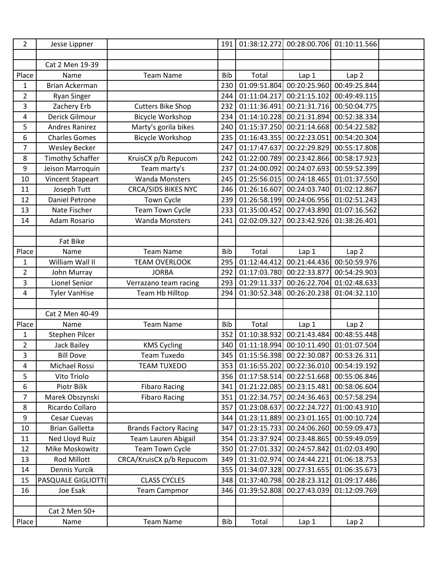| $\overline{2}$ | Jesse Lippner           |                              | 191        | 01:38:12.272 | 00:28:00.706 | 01:10:11.566     |  |
|----------------|-------------------------|------------------------------|------------|--------------|--------------|------------------|--|
|                |                         |                              |            |              |              |                  |  |
|                | Cat 2 Men 19-39         |                              |            |              |              |                  |  |
| Place          | Name                    | <b>Team Name</b>             | <b>Bib</b> | Total        | Lap 1        | Lap <sub>2</sub> |  |
| $\mathbf{1}$   | <b>Brian Ackerman</b>   |                              | 230        | 01:09:51.804 | 00:20:25.960 | 00:49:25.844     |  |
| $\overline{2}$ | <b>Ryan Singer</b>      |                              | 244        | 01:11:04.217 | 00:21:15.102 | 00:49:49.115     |  |
| 3              | Zachery Erb             | <b>Cutters Bike Shop</b>     | 232        | 01:11:36.491 | 00:21:31.716 | 00:50:04.775     |  |
| 4              | Derick Gilmour          | <b>Bicycle Workshop</b>      | 234        | 01:14:10.228 | 00:21:31.894 | 00:52:38.334     |  |
| 5              | <b>Andres Ranirez</b>   | Marty's gorila bikes         | 240        | 01:15:37.250 | 00:21:14.668 | 00:54:22.582     |  |
| 6              | <b>Charles Gomes</b>    | <b>Bicycle Workshop</b>      | 235        | 01:16:43.355 | 00:22:23.051 | 00:54:20.304     |  |
| $\overline{7}$ | <b>Wesley Becker</b>    |                              | 247        | 01:17:47.637 | 00:22:29.829 | 00:55:17.808     |  |
| 8              | <b>Timothy Schaffer</b> | KruisCX p/b Repucom          | 242        | 01:22:00.789 | 00:23:42.866 | 00:58:17.923     |  |
| 9              | Jeison Marroquin        | Team marty's                 | 237        | 01:24:00.092 | 00:24:07.693 | 00:59:52.399     |  |
| 10             | <b>Vincent Stapeart</b> | <b>Wanda Monsters</b>        | 245        | 01:25:56.015 | 00:24:18.465 | 01:01:37.550     |  |
| 11             | Joseph Tutt             | <b>CRCA/SIDS BIKES NYC</b>   | 246        | 01:26:16.607 | 00:24:03.740 | 01:02:12.867     |  |
| 12             | <b>Daniel Petrone</b>   | Town Cycle                   | 239        | 01:26:58.199 | 00:24:06.956 | 01:02:51.243     |  |
| 13             | Nate Fischer            | Team Town Cycle              | 233        | 01:35:00.452 | 00:27:43.890 | 01:07:16.562     |  |
| 14             | Adam Rosario            | <b>Wanda Monsters</b>        | 241        | 02:02:09.327 | 00:23:42.926 | 01:38:26.401     |  |
|                |                         |                              |            |              |              |                  |  |
|                | Fat Bike                |                              |            |              |              |                  |  |
| Place          | Name                    | <b>Team Name</b>             | <b>Bib</b> | Total        | Lap 1        | Lap <sub>2</sub> |  |
| 1              | William Wall II         | <b>TEAM OVERLOOK</b>         | 295        | 01:12:44.412 | 00:21:44.436 | 00:50:59.976     |  |
| $\overline{2}$ | John Murray             | <b>JORBA</b>                 | 292        | 01:17:03.780 | 00:22:33.877 | 00:54:29.903     |  |
| 3              | Lionel Senior           | Verrazano team racing        | 293        | 01:29:11.337 | 00:26:22.704 | 01:02:48.633     |  |
| 4              | <b>Tyler VanHise</b>    | Team Hb Hilltop              | 294        | 01:30:52.348 | 00:26:20.238 | 01:04:32.110     |  |
|                |                         |                              |            |              |              |                  |  |
|                | Cat 2 Men 40-49         |                              |            |              |              |                  |  |
| Place          | Name                    | <b>Team Name</b>             | <b>Bib</b> | Total        | Lap 1        | Lap <sub>2</sub> |  |
| 1              | Stephen Pilcer          |                              | 352        | 01:10:38.932 | 00:21:43.484 | 00:48:55.448     |  |
| $\overline{2}$ | <b>Jack Bailey</b>      | <b>KMS Cycling</b>           | 340        | 01:11:18.994 | 00:10:11.490 | 01:01:07.504     |  |
| 3              | <b>Bill Dove</b>        | <b>Team Tuxedo</b>           | 345        | 01:15:56.398 | 00:22:30.087 | 00:53:26.311     |  |
| 4              | Michael Rossi           | <b>TEAM TUXEDO</b>           | 353        | 01:16:55.202 | 00:22:36.010 | 00:54:19.192     |  |
| 5              | Vito Triolo             |                              | 356        | 01:17:58.514 | 00:22:51.668 | 00:55:06.846     |  |
| 6              | Piotr Bilik             | <b>Fibaro Racing</b>         | 341        | 01:21:22.085 | 00:23:15.481 | 00:58:06.604     |  |
| $\overline{7}$ | Marek Obszynski         | <b>Fibaro Racing</b>         | 351        | 01:22:34.757 | 00:24:36.463 | 00:57:58.294     |  |
| 8              | Ricardo Collaro         |                              | 357        | 01:23:08.637 | 00:22:24.727 | 01:00:43.910     |  |
| 9              | Cesar Cuevas            |                              | 344        | 01:23:11.889 | 00:23:01.165 | 01:00:10.724     |  |
| 10             | <b>Brian Galletta</b>   | <b>Brands Factory Racing</b> | 347        | 01:23:15.733 | 00:24:06.260 | 00:59:09.473     |  |
| 11             | Ned Lloyd Ruiz          | Team Lauren Abigail          | 354        | 01:23:37.924 | 00:23:48.865 | 00:59:49.059     |  |
| 12             | Mike Moskowitz          | Team Town Cycle              | 350        | 01:27:01.332 | 00:24:57.842 | 01:02:03.490     |  |
| 13             | Rod Millott             | CRCA/KruisCX p/b Repucom     | 349        | 01:31:02.974 | 00:24:44.221 | 01:06:18.753     |  |
| 14             | Dennis Yurcik           |                              | 355        | 01:34:07.328 | 00:27:31.655 | 01:06:35.673     |  |
| 15             | PASQUALE GIGLIOTTI      | <b>CLASS CYCLES</b>          | 348        | 01:37:40.798 | 00:28:23.312 | 01:09:17.486     |  |
| 16             | Joe Esak                | <b>Team Campmor</b>          | 346        | 01:39:52.808 | 00:27:43.039 | 01:12:09.769     |  |
|                |                         |                              |            |              |              |                  |  |
|                | Cat 2 Men 50+           |                              |            |              |              |                  |  |
| Place          | Name                    | <b>Team Name</b>             | Bib        | Total        | Lap 1        | Lap2             |  |
|                |                         |                              |            |              |              |                  |  |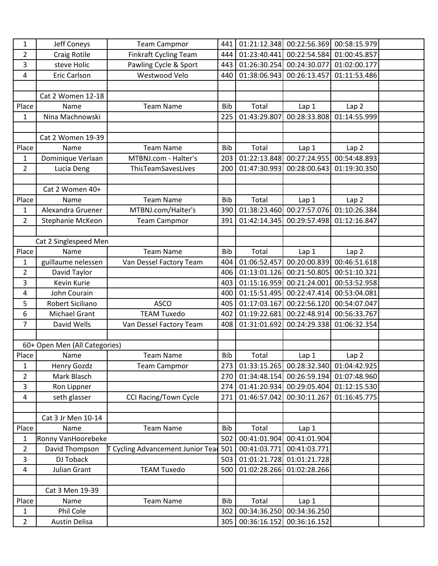| 1              | Jeff Coneys                   | <b>Team Campmor</b>               | 441        | 01:21:12.348 | 00:22:56.369 | 00:58:15.979     |  |
|----------------|-------------------------------|-----------------------------------|------------|--------------|--------------|------------------|--|
| $\overline{2}$ | <b>Craig Rotile</b>           | <b>Finkraft Cycling Team</b>      | 444        | 01:23:40.441 | 00:22:54.584 | 01:00:45.857     |  |
| 3              | steve Holic                   | Pawling Cycle & Sport             | 443        | 01:26:30.254 | 00:24:30.077 | 01:02:00.177     |  |
| 4              | Eric Carlson                  | Westwood Velo                     | 440        | 01:38:06.943 | 00:26:13.457 | 01:11:53.486     |  |
|                |                               |                                   |            |              |              |                  |  |
|                | Cat 2 Women 12-18             |                                   |            |              |              |                  |  |
| Place          | Name                          | <b>Team Name</b>                  | <b>Bib</b> | Total        | Lap 1        | Lap <sub>2</sub> |  |
| 1              | Nina Machnowski               |                                   | 225        | 01:43:29.807 | 00:28:33.808 | 01:14:55.999     |  |
|                |                               |                                   |            |              |              |                  |  |
|                | Cat 2 Women 19-39             |                                   |            |              |              |                  |  |
| Place          | Name                          | <b>Team Name</b>                  | <b>Bib</b> | Total        | Lap 1        | Lap <sub>2</sub> |  |
| $\mathbf{1}$   | Dominique Verlaan             | MTBNJ.com - Halter's              | 203        | 01:22:13.848 | 00:27:24.955 | 00:54:48.893     |  |
| $\overline{2}$ | Lucia Deng                    | ThisTeamSavesLives                | 200        | 01:47:30.993 | 00:28:00.643 | 01:19:30.350     |  |
|                |                               |                                   |            |              |              |                  |  |
|                | Cat 2 Women 40+               |                                   |            |              |              |                  |  |
| Place          | Name                          | <b>Team Name</b>                  | <b>Bib</b> | Total        | Lap 1        | Lap <sub>2</sub> |  |
| 1              | Alexandra Gruener             | MTBNJ.com/Halter's                | 390        | 01:38:23.460 | 00:27:57.076 | 01:10:26.384     |  |
| $\overline{2}$ | Stephanie McKeon              | <b>Team Campmor</b>               | 391        | 01:42:14.345 | 00:29:57.498 | 01:12:16.847     |  |
|                |                               |                                   |            |              |              |                  |  |
|                | Cat 2 Singlespeed Men         |                                   |            |              |              |                  |  |
| Place          | Name                          | <b>Team Name</b>                  | <b>Bib</b> | Total        | Lap 1        | Lap <sub>2</sub> |  |
| 1              | guillaume nelessen            | Van Dessel Factory Team           | 404        | 01:06:52.457 | 00:20:00.839 | 00:46:51.618     |  |
| $\overline{2}$ | David Taylor                  |                                   | 406        | 01:13:01.126 | 00:21:50.805 | 00:51:10.321     |  |
| 3              | Kevin Kurie                   |                                   | 403        | 01:15:16.959 | 00:21:24.001 | 00:53:52.958     |  |
| 4              | John Courain                  |                                   | 400        | 01:15:51.495 | 00:22:47.414 | 00:53:04.081     |  |
| 5              | Robert Siciliano              | <b>ASCO</b>                       | 405        | 01:17:03.167 | 00:22:56.120 | 00:54:07.047     |  |
| 6              | Michael Grant                 | <b>TEAM Tuxedo</b>                | 402        | 01:19:22.681 | 00:22:48.914 | 00:56:33.767     |  |
| 7              | David Wells                   | Van Dessel Factory Team           | 408        | 01:31:01.692 | 00:24:29.338 | 01:06:32.354     |  |
|                |                               |                                   |            |              |              |                  |  |
|                | 60+ Open Men (All Categories) |                                   |            |              |              |                  |  |
| Place          | Name                          | <b>Team Name</b>                  | Bib        | Total        | Lap 1        | Lap <sub>2</sub> |  |
| 1              | Henry Gozdz                   | <b>Team Campmor</b>               | 273        | 01:33:15.265 | 00:28:32.340 | 01:04:42.925     |  |
| $\overline{2}$ | Mark Blasch                   |                                   | 270        | 01:34:48.154 | 00:26:59.194 | 01:07:48.960     |  |
| 3              | Ron Lippner                   |                                   | 274        | 01:41:20.934 | 00:29:05.404 | 01:12:15.530     |  |
| 4              | seth glasser                  | <b>CCI Racing/Town Cycle</b>      | 271        | 01:46:57.042 | 00:30:11.267 | 01:16:45.775     |  |
|                |                               |                                   |            |              |              |                  |  |
|                | Cat 3 Jr Men 10-14            |                                   |            |              |              |                  |  |
| Place          | Name                          | <b>Team Name</b>                  | <b>Bib</b> | Total        | Lap 1        |                  |  |
| 1              | Ronny VanHoorebeke            |                                   | 502        | 00:41:01.904 | 00:41:01.904 |                  |  |
| $\overline{2}$ | David Thompson                | T Cycling Advancement Junior Teal | 501        | 00:41:03.771 | 00:41:03.771 |                  |  |
| 3              | DJ Toback                     |                                   | 503        | 01:01:21.728 | 01:01:21.728 |                  |  |
| $\overline{4}$ | Julian Grant                  | <b>TEAM Tuxedo</b>                | 500        | 01:02:28.266 | 01:02:28.266 |                  |  |
|                |                               |                                   |            |              |              |                  |  |
|                | Cat 3 Men 19-39               |                                   |            |              |              |                  |  |
| Place          | Name                          | <b>Team Name</b>                  | <b>Bib</b> | Total        | Lap 1        |                  |  |
| 1              | Phil Cole                     |                                   | 302        | 00:34:36.250 | 00:34:36.250 |                  |  |
| $\overline{2}$ | Austin Delisa                 |                                   | 305        | 00:36:16.152 | 00:36:16.152 |                  |  |